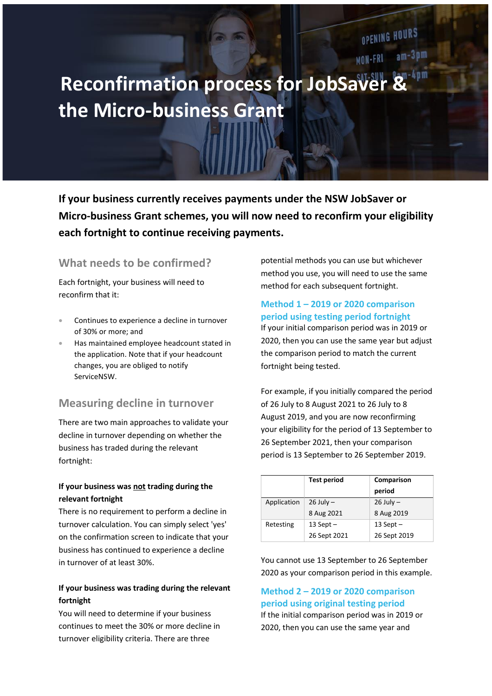# **Reconfirmation process for JobSav the Micro-business Grant**

**If your business currently receives payments under the NSW JobSaver or Micro-business Grant schemes, you will now need to reconfirm your eligibility each fortnight to continue receiving payments.**

### **What needs to be confirmed?**

Each fortnight, your business will need to reconfirm that it:

- Continues to experience a decline in turnover of 30% or more; and
- Has maintained employee headcount stated in the application. Note that if your headcount changes, you are obliged to notify ServiceNSW.

## **Measuring decline in turnover**

There are two main approaches to validate your decline in turnover depending on whether the business has traded during the relevant fortnight:

#### **If your business was not trading during the relevant fortnight**

There is no requirement to perform a decline in turnover calculation. You can simply select 'yes' on the confirmation screen to indicate that your business has continued to experience a decline in turnover of at least 30%.

#### **If your business was trading during the relevant fortnight**

You will need to determine if your business continues to meet the 30% or more decline in turnover eligibility criteria. There are three

potential methods you can use but whichever method you use, you will need to use the same method for each subsequent fortnight.

OPENING HOURS

MON-FRI am-3pm

#### **Method 1 – 2019 or 2020 comparison period using testing period fortnight**

If your initial comparison period was in 2019 or 2020, then you can use the same year but adjust the comparison period to match the current fortnight being tested.

For example, if you initially compared the period of 26 July to 8 August 2021 to 26 July to 8 August 2019, and you are now reconfirming your eligibility for the period of 13 September to 26 September 2021, then your comparison period is 13 September to 26 September 2019.

|             | <b>Test period</b> | Comparison<br>period |  |
|-------------|--------------------|----------------------|--|
| Application | $26$ July $-$      | $26$ July $-$        |  |
|             | 8 Aug 2021         | 8 Aug 2019           |  |
| Retesting   | 13 Sept $-$        | 13 Sept $-$          |  |
|             | 26 Sept 2021       | 26 Sept 2019         |  |

You cannot use 13 September to 26 September 2020 as your comparison period in this example.

## **Method 2 – 2019 or 2020 comparison period using original testing period**

If the initial comparison period was in 2019 or 2020, then you can use the same year and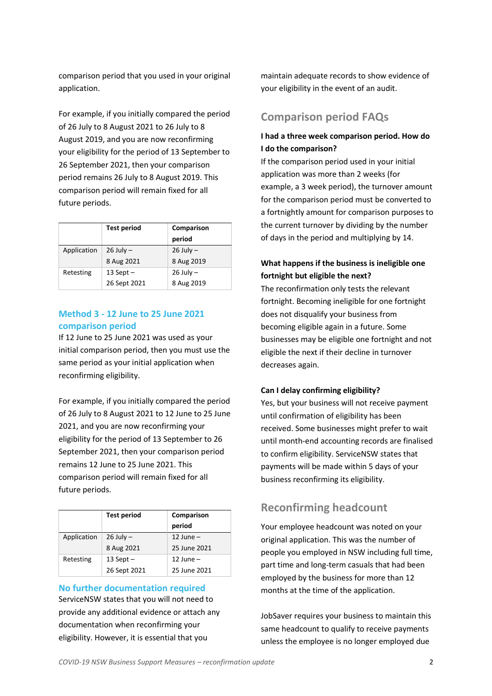comparison period that you used in your original application.

For example, if you initially compared the period of 26 July to 8 August 2021 to 26 July to 8 August 2019, and you are now reconfirming your eligibility for the period of 13 September to 26 September 2021, then your comparison period remains 26 July to 8 August 2019. This comparison period will remain fixed for all future periods.

|             | <b>Test period</b> | Comparison<br>period |  |
|-------------|--------------------|----------------------|--|
| Application | $26$ July $-$      | $26$ July $-$        |  |
|             | 8 Aug 2021         | 8 Aug 2019           |  |
| Retesting   | 13 Sept $-$        | $26$ July $-$        |  |
|             | 26 Sept 2021       | 8 Aug 2019           |  |

#### **Method 3 - 12 June to 25 June 2021 comparison period**

If 12 June to 25 June 2021 was used as your initial comparison period, then you must use the same period as your initial application when reconfirming eligibility.

For example, if you initially compared the period of 26 July to 8 August 2021 to 12 June to 25 June 2021, and you are now reconfirming your eligibility for the period of 13 September to 26 September 2021, then your comparison period remains 12 June to 25 June 2021. This comparison period will remain fixed for all future periods.

|             | <b>Test period</b> | Comparison<br>period |  |
|-------------|--------------------|----------------------|--|
| Application | $26$ July $-$      | $12$ June $-$        |  |
|             | 8 Aug 2021         | 25 June 2021         |  |
| Retesting   | 13 Sept $-$        | 12 June $-$          |  |
|             | 26 Sept 2021       | 25 June 2021         |  |

### **No further documentation required** ServiceNSW states that you will not need to provide any additional evidence or attach any documentation when reconfirming your eligibility. However, it is essential that you

maintain adequate records to show evidence of your eligibility in the event of an audit.

## **Comparison period FAQs**

#### **I had a three week comparison period. How do I do the comparison?**

If the comparison period used in your initial application was more than 2 weeks (for example, a 3 week period), the turnover amount for the comparison period must be converted to a fortnightly amount for comparison purposes to the current turnover by dividing by the number of days in the period and multiplying by 14.

### **What happens if the business is ineligible one fortnight but eligible the next?**

The reconfirmation only tests the relevant fortnight. Becoming ineligible for one fortnight does not disqualify your business from becoming eligible again in a future. Some businesses may be eligible one fortnight and not eligible the next if their decline in turnover decreases again.

#### **Can I delay confirming eligibility?**

Yes, but your business will not receive payment until confirmation of eligibility has been received. Some businesses might prefer to wait until month-end accounting records are finalised to confirm eligibility. ServiceNSW states that payments will be made within 5 days of your business reconfirming its eligibility.

## **Reconfirming headcount**

Your employee headcount was noted on your original application. This was the number of people you employed in NSW including full time, part time and long-term casuals that had been employed by the business for more than 12 months at the time of the application.

JobSaver requires your business to maintain this same headcount to qualify to receive payments unless the employee is no longer employed due